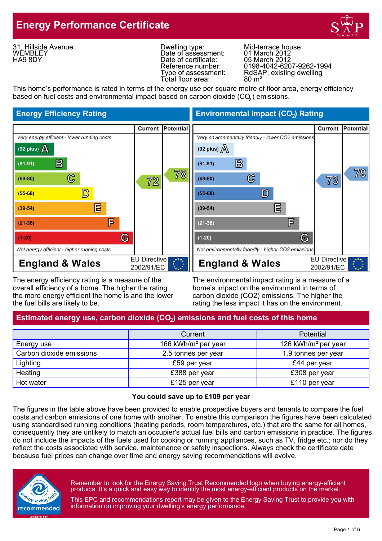## **Energy Performance Certificate**



31, Hillside Avenue WEMBLEY HA9 8DY

Dwelling type: Mid-terrace house<br>
Date of assessment: 01 March 2012<br>
Date of certificate: 05 March 2012 Date of assessment: Date of certificate:<br>Reference number: Total floor area:

Reference number:  $0198-4042-6207-9262-1994$ <br>Type of assessment: RdSAP, existing dwelling RdSAP, existing dwelling<br>80 m<sup>2</sup>

This home's performance is rated in terms of the energy use per square metre of floor area, energy efficiency based on fuel costs and environmental impact based on carbon dioxide (CO ) emissions. <sup>2</sup>



The energy efficiency rating is a measure of the The environmental impact rating is a measure of a overall efficiency of a home. The higher the rating home's impact on the environment in terms of the more energy efficient the home is and the lower carbon dioxide (CO2) emissions. The higher the the fuel bills are likely to be.<br>
rating the less impact it has on the environment.

**Energy Efficiency Rating Environmental Impact (CO<sub>2</sub>) Rating** 



rating the less impact it has on the environment.

### Estimated energy use, carbon dioxide (CO<sub>2</sub>) emissions and fuel costs of this home

|                          | Current                         | <b>Potential</b>                |  |
|--------------------------|---------------------------------|---------------------------------|--|
| Energy use               | 166 kWh/m <sup>2</sup> per year | 126 kWh/m <sup>2</sup> per year |  |
| Carbon dioxide emissions | 2.5 tonnes per year             | 1.9 tonnes per year             |  |
| Lighting                 | £59 per year                    | £44 per year                    |  |
| Heating                  | £388 per year                   | £308 per year                   |  |
| Hot water                | £125 per year                   | £110 per year                   |  |

#### **You could save up to £109 per year**

The figures in the table above have been provided to enable prospective buyers and tenants to compare the fuel costs and carbon emissions of one home with another. To enable this comparison the figures have been calculated using standardised running conditions (heating periods, room temperatures, etc.) that are the same for all homes, consequently they are unlikely to match an occupier's actual fuel bills and carbon emissions in practice. The figures do not include the impacts of the fuels used for cooking or running appliances, such as TV, fridge etc.; nor do they reflect the costs associated with service, maintenance or safety inspections. Always check the certificate date because fuel prices can change over time and energy saving recommendations will evolve.



Remember to look for the Energy Saving Trust Recommended logo when buying energy-efficient products. It's a quick and easy way to identify the most energy-efficient products on the market.

This EPC and recommendations report may be given to the Energy Saving Trust to provide you with information on improving your dwelling's energy performance.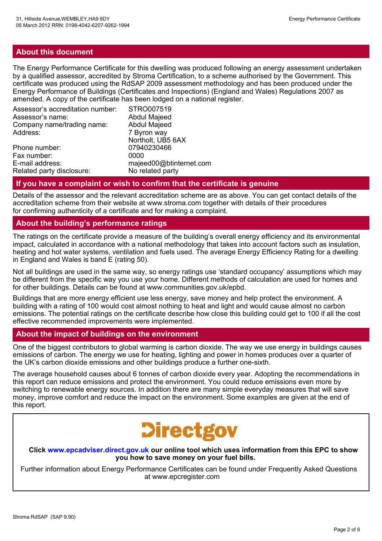#### **About this document**

The Energy Performance Certificate for this dwelling was produced following an energy assessment undertaken by a qualified assessor, accredited by Stroma Certification, to a scheme authorised by the Government. This certificate was produced using the RdSAP 2009 assessment methodology and has been produced under the Energy Performance of Buildings (Certificates and Inspections) (England and Wales) Regulations 2007 as amended. A copy of the certificate has been lodged on a national register.

| Assessor's accreditation number: | STRO007519              |
|----------------------------------|-------------------------|
| Assessor's name:                 | <b>Abdul Majeed</b>     |
| Company name/trading name:       | <b>Abdul Majeed</b>     |
| Address:                         | 7 Byron way             |
|                                  | Northolt, UB5 6AX       |
| Phone number:                    | 07940230466             |
| Fax number:                      | 0000                    |
| E-mail address:                  | majeed00@btinternet.com |
| Related party disclosure:        | No related party        |

#### **If you have a complaint or wish to confirm that the certificate is genuine**

Details of the assessor and the relevant accreditation scheme are as above. You can get contact details of the accreditation scheme from their website at www.stroma.com together with details of their procedures for confirming authenticity of a certificate and for making a complaint.

#### **About the building's performance ratings**

The ratings on the certificate provide a measure of the building's overall energy efficiency and its environmental impact, calculated in accordance with a national methodology that takes into account factors such as insulation, heating and hot water systems, ventilation and fuels used. The average Energy Efficiency Rating for a dwelling in England and Wales is band E (rating 50).

Not all buildings are used in the same way, so energy ratings use 'standard occupancy' assumptions which may be different from the specific way you use your home. Different methods of calculation are used for homes and for other buildings. Details can be found at www.communities.gov.uk/epbd.

Buildings that are more energy efficient use less energy, save money and help protect the environment. A building with a rating of 100 would cost almost nothing to heat and light and would cause almost no carbon emissions. The potential ratings on the certificate describe how close this building could get to 100 if all the cost effective recommended improvements were implemented.

#### **About the impact of buildings on the environment**

One of the biggest contributors to global warming is carbon dioxide. The way we use energy in buildings causes emissions of carbon. The energy we use for heating, lighting and power in homes produces over a quarter of the UK's carbon dioxide emissions and other buildings produce a further one-sixth.

The average household causes about 6 tonnes of carbon dioxide every year. Adopting the recommendations in this report can reduce emissions and protect the environment. You could reduce emissions even more by switching to renewable energy sources. In addition there are many simple everyday measures that will save money, improve comfort and reduce the impact on the environment. Some examples are given at the end of this report.

# **Directgov**

**Click www.epcadviser.direct.gov.uk our online tool which uses information from this EPC to show you how to save money on your fuel bills.**

Further information about Energy Performance Certificates can be found under Frequently Asked Questions at www.epcregister.com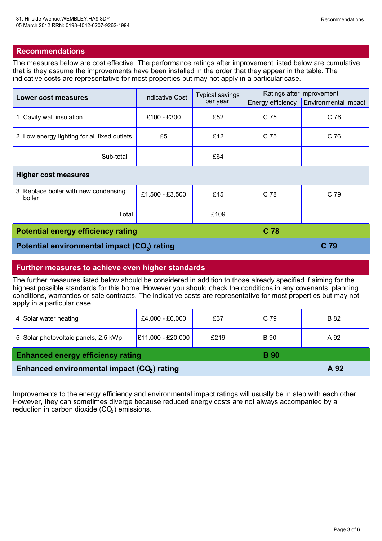#### **Recommendations**

The measures below are cost effective. The performance ratings after improvement listed below are cumulative, that is they assume the improvements have been installed in the order that they appear in the table. The indicative costs are representative for most properties but may not apply in a particular case.

| <b>Lower cost measures</b>                               | <b>Indicative Cost</b> | <b>Typical savings</b><br>per year | Ratings after improvement |                      |  |
|----------------------------------------------------------|------------------------|------------------------------------|---------------------------|----------------------|--|
|                                                          |                        |                                    | Energy efficiency         | Environmental impact |  |
| 1 Cavity wall insulation                                 | £100 - £300            | £52                                | C 75                      | C 76                 |  |
| 2 Low energy lighting for all fixed outlets              | £5                     | £12                                | C 75                      | C 76                 |  |
| Sub-total                                                |                        | £64                                |                           |                      |  |
| <b>Higher cost measures</b>                              |                        |                                    |                           |                      |  |
| 3 Replace boiler with new condensing<br>boiler           | £1,500 - £3,500        | £45                                | C 78                      | C 79                 |  |
| Total                                                    |                        | £109                               |                           |                      |  |
| C 78<br><b>Potential energy efficiency rating</b>        |                        |                                    |                           |                      |  |
| Potential environmental impact (CO <sub>2</sub> ) rating |                        |                                    |                           | C <sub>79</sub>      |  |

#### **Further measures to achieve even higher standards**

The further measures listed below should be considered in addition to those already specified if aiming for the highest possible standards for this home. However you should check the conditions in any covenants, planning conditions, warranties or sale contracts. The indicative costs are representative for most properties but may not apply in a particular case.

| 4 Solar water heating                                   | £4,000 - £6,000   | £37  | C 79        | B 82 |
|---------------------------------------------------------|-------------------|------|-------------|------|
| 5 Solar photovoltaic panels, 2.5 kWp                    | E11,000 - £20,000 | £219 | <b>B</b> 90 | A 92 |
| <b>Enhanced energy efficiency rating</b>                |                   |      | <b>B</b> 90 |      |
| Enhanced environmental impact (CO <sub>2</sub> ) rating |                   |      |             | A 92 |

Improvements to the energy efficiency and environmental impact ratings will usually be in step with each other. However, they can sometimes diverge because reduced energy costs are not always accompanied by a reduction in carbon dioxide  $(CO<sub>2</sub>)$  emissions.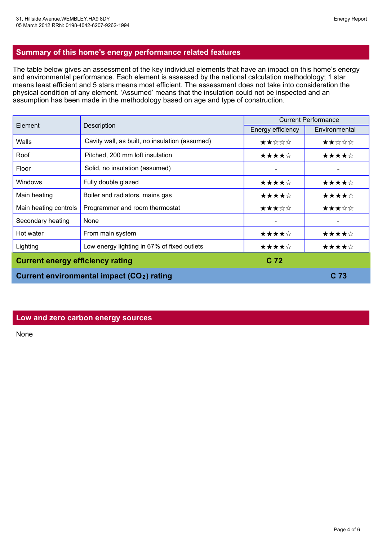#### **Summary of this home's energy performance related features**

The table below gives an assessment of the key individual elements that have an impact on this home's energy and environmental performance. Each element is assessed by the national calculation methodology; 1 star means least efficient and 5 stars means most efficient. The assessment does not take into consideration the physical condition of any element. 'Assumed' means that the insulation could not be inspected and an assumption has been made in the methodology based on age and type of construction.

| Element                                 |                                                        | <b>Current Performance</b> |                 |
|-----------------------------------------|--------------------------------------------------------|----------------------------|-----------------|
|                                         | Description                                            | Energy efficiency          | Environmental   |
| Walls                                   | Cavity wall, as built, no insulation (assumed)         | ★★☆☆☆                      | ★★☆☆☆           |
| Roof                                    | Pitched, 200 mm loft insulation                        | ★★★★☆                      | ★★★★☆           |
| Floor                                   | Solid, no insulation (assumed)                         |                            |                 |
| <b>Windows</b>                          | Fully double glazed                                    | ★★★★☆                      | ★★★★☆           |
| Main heating                            | Boiler and radiators, mains gas                        | ★★★★☆                      | ★★★★☆           |
| Main heating controls                   | Programmer and room thermostat                         | ★★★☆☆                      | ★★★☆☆           |
| Secondary heating                       | None                                                   |                            |                 |
| Hot water                               | From main system                                       | ★★★★☆                      | ★★★★☆           |
| Lighting                                | Low energy lighting in 67% of fixed outlets            | ★★★★☆                      | ★★★★☆           |
| <b>Current energy efficiency rating</b> |                                                        | C <sub>72</sub>            |                 |
|                                         | Current environmental impact (CO <sub>2</sub> ) rating |                            | C <sub>73</sub> |

#### **Low and zero carbon energy sources**

None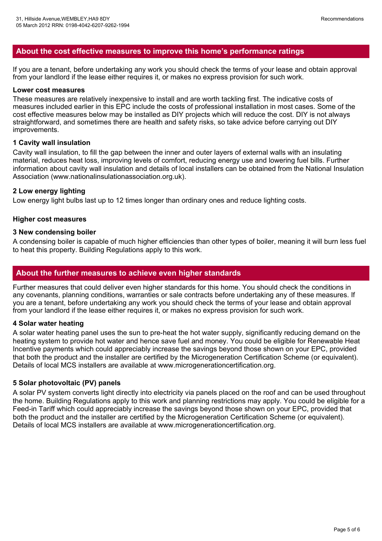#### **About the cost effective measures to improve this home's performance ratings**

If you are a tenant, before undertaking any work you should check the terms of your lease and obtain approval from your landlord if the lease either requires it, or makes no express provision for such work.

#### **Lower cost measures**

These measures are relatively inexpensive to install and are worth tackling first. The indicative costs of measures included earlier in this EPC include the costs of professional installation in most cases. Some of the cost effective measures below may be installed as DIY projects which will reduce the cost. DIY is not always straightforward, and sometimes there are health and safety risks, so take advice before carrying out DIY improvements.

#### **1 Cavity wall insulation**

Cavity wall insulation, to fill the gap between the inner and outer layers of external walls with an insulating material, reduces heat loss, improving levels of comfort, reducing energy use and lowering fuel bills. Further information about cavity wall insulation and details of local installers can be obtained from the National Insulation Association (www.nationalinsulationassociation.org.uk).

#### **2 Low energy lighting**

Low energy light bulbs last up to 12 times longer than ordinary ones and reduce lighting costs.

#### **Higher cost measures**

#### **3 New condensing boiler**

A condensing boiler is capable of much higher efficiencies than other types of boiler, meaning it will burn less fuel to heat this property. Building Regulations apply to this work.

#### **About the further measures to achieve even higher standards**

Further measures that could deliver even higher standards for this home. You should check the conditions in any covenants, planning conditions, warranties or sale contracts before undertaking any of these measures. If you are a tenant, before undertaking any work you should check the terms of your lease and obtain approval from your landlord if the lease either requires it, or makes no express provision for such work.

#### **4 Solar water heating**

A solar water heating panel uses the sun to pre-heat the hot water supply, significantly reducing demand on the heating system to provide hot water and hence save fuel and money. You could be eligible for Renewable Heat Incentive payments which could appreciably increase the savings beyond those shown on your EPC, provided that both the product and the installer are certified by the Microgeneration Certification Scheme (or equivalent). Details of local MCS installers are available at www.microgenerationcertification.org.

#### **5 Solar photovoltaic (PV) panels**

A solar PV system converts light directly into electricity via panels placed on the roof and can be used throughout the home. Building Regulations apply to this work and planning restrictions may apply. You could be eligible for a Feed-in Tariff which could appreciably increase the savings beyond those shown on your EPC, provided that both the product and the installer are certified by the Microgeneration Certification Scheme (or equivalent). Details of local MCS installers are available at www.microgenerationcertification.org.